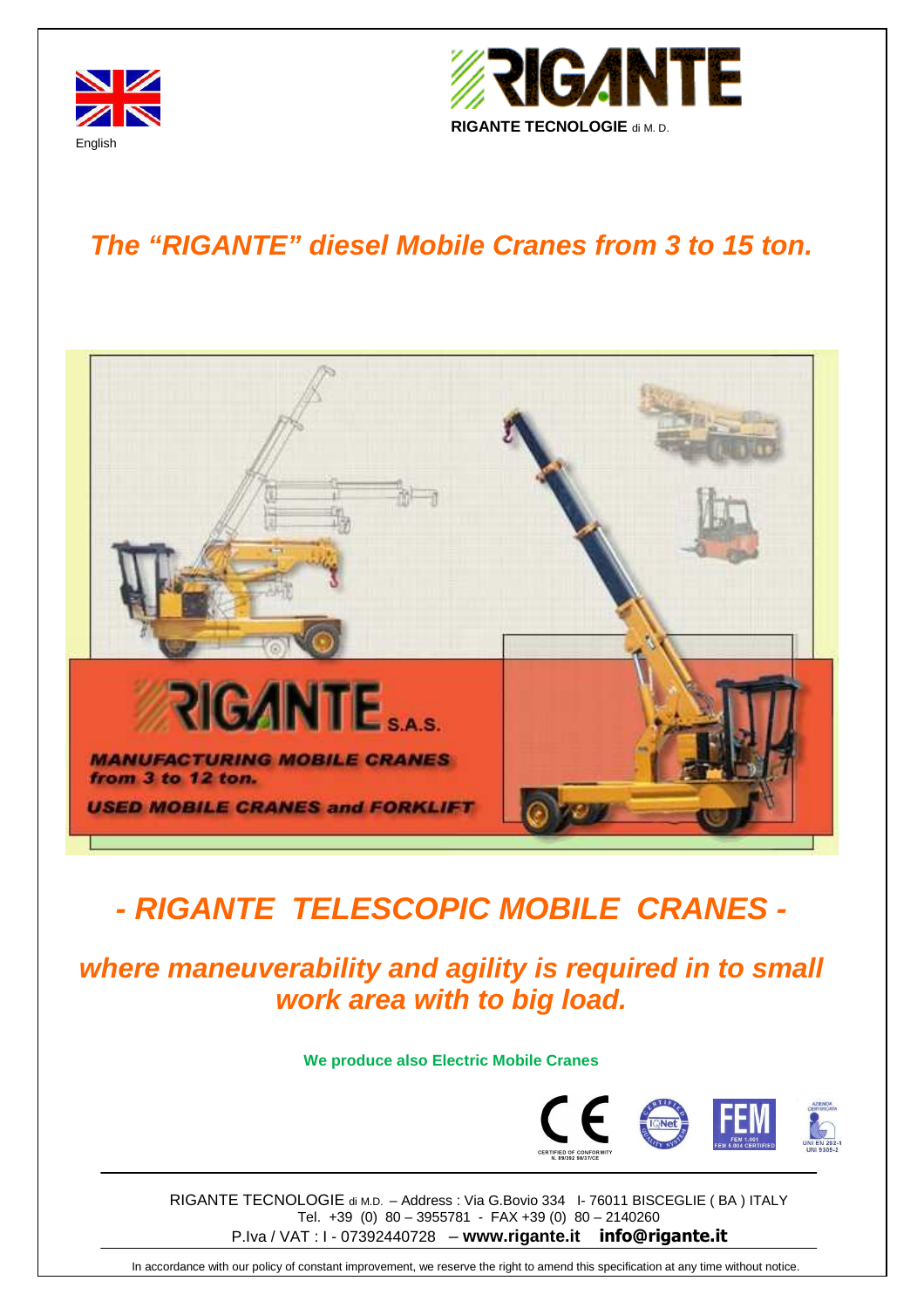



## **The "RIGANTE" diesel Mobile Cranes from 3 to 15 ton.**



# **- RIGANTE TELESCOPIC MOBILE CRANES -**

**where maneuverability and agility is required in to small work area with to big load.** 

**We produce also Electric Mobile Cranes** 



RIGANTE TECNOLOGIE di M.D. – Address : Via G.Bovio 334 I- 76011 BISCEGLIE ( BA ) ITALY Tel. +39 (0) 80 – 3955781 - FAX +39 (0) 80 – 2140260 P.Iva / VAT : I - 07392440728 – **www.rigante.it info@rigante.it**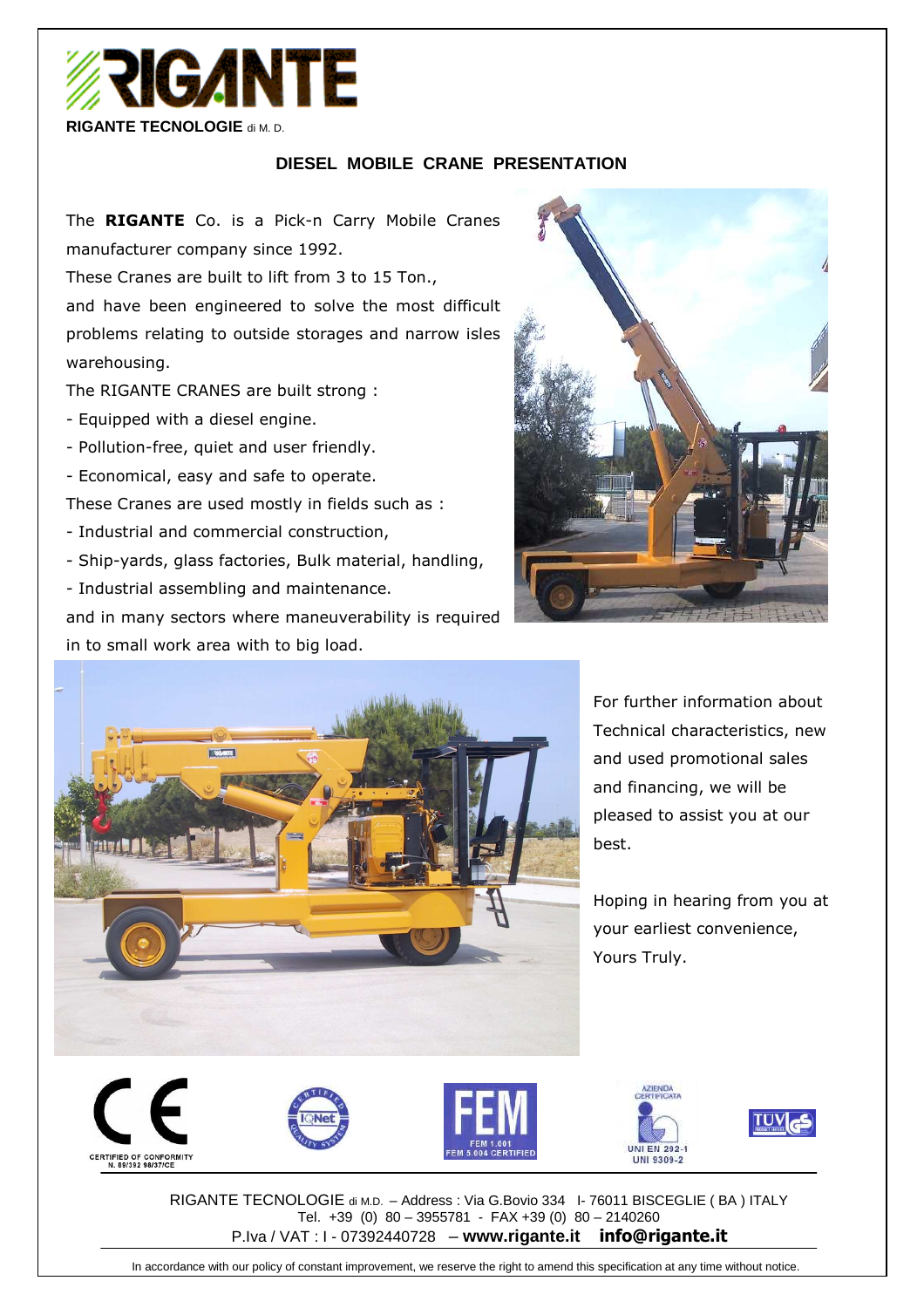

### **DIESEL MOBILE CRANE PRESENTATION**

The **RIGANTE** Co. is a Pick-n Carry Mobile Cranes manufacturer company since 1992.

These Cranes are built to lift from 3 to 15 Ton., and have been engineered to solve the most difficult problems relating to outside storages and narrow isles warehousing.

The RIGANTE CRANES are built strong :

- Equipped with a diesel engine.
- Pollution-free, quiet and user friendly.
- Economical, easy and safe to operate.

These Cranes are used mostly in fields such as :

- Industrial and commercial construction,
- Ship-yards, glass factories, Bulk material, handling,
- Industrial assembling and maintenance.

and in many sectors where maneuverability is required in to small work area with to big load.





For further information about Technical characteristics, new and used promotional sales and financing, we will be pleased to assist you at our best.

Hoping in hearing from you at your earliest convenience, Yours Truly.





RIGANTE TECNOLOGIE di M.D. – Address : Via G.Bovio 334 I- 76011 BISCEGLIE ( BA ) ITALY Tel. +39 (0) 80 – 3955781 - FAX +39 (0) 80 – 2140260 P.Iva / VAT : I - 07392440728 – **www.rigante.it info@rigante.it**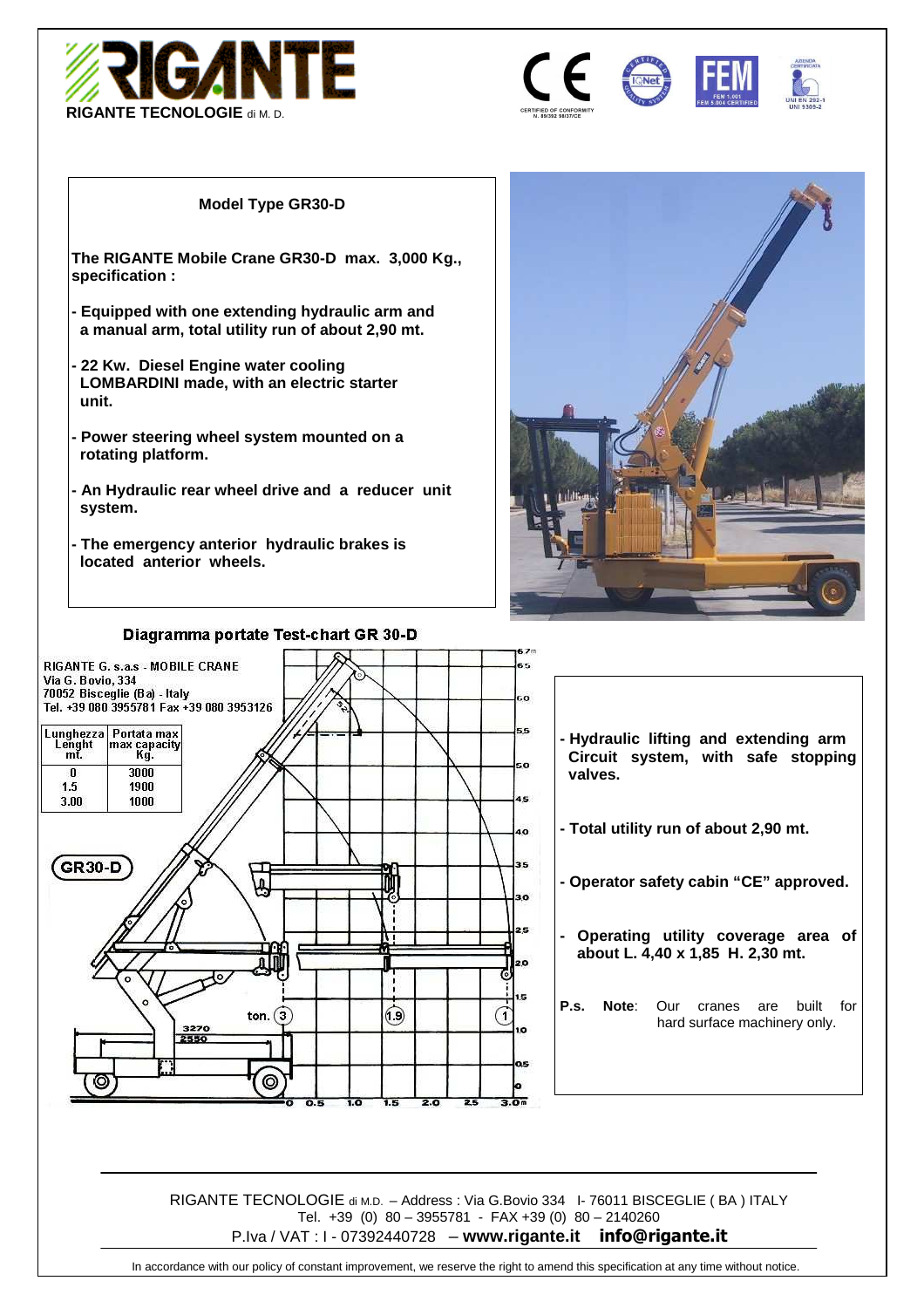



#### **Model Type GR30-D**

**The RIGANTE Mobile Crane GR30-D max. 3,000 Kg., specification :** 

- **Equipped with one extending hydraulic arm and a manual arm, total utility run of about 2,90 mt.**
- **22 Kw. Diesel Engine water cooling LOMBARDINI made, with an electric starter unit.**
- **Power steering wheel system mounted on a rotating platform.**
- **An Hydraulic rear wheel drive and a reducer unit system.**
- **The emergency anterior hydraulic brakes is located anterior wheels.**



#### 57. RIGANTE G. s.a.s - MOBILE CRANE e et Via G. Bovio, 334 70052 Bisceglie (Ba) - Italy .o Tel. +39 080 3955781 Fax +39 080 3953126 Lunghezza Portata max<br>Lenght max capacity<br>mt. Kg. 55 **- Hydraulic lifting and extending arm Circuit system, with safe stopping**  so.  $\overline{\mathbf{n}}$ 3000  **valves.**  1.5 1900 45 1000 3.00 **- Total utility run of about 2,90 mt.**   $\overline{a}$ 35 GR<sub>30-D</sub> A **- Operator safety cabin "CE" approved.**   $\overline{a}$ 25 **- Operating utility coverage area of about L. 4,40 x 1,85 H. 2,30 mt.**  劥 20 G ı.s **P.s. Note**: Our cranes are built for  $\bigcirc$ G ton. $(3)$  hard surface machinery only.3270<br>2550 ıo  $\circledcirc$  $\frac{1}{3.0}$ π  $\overline{2.0}$

RIGANTE TECNOLOGIE di M.D. – Address : Via G.Bovio 334 I- 76011 BISCEGLIE ( BA ) ITALY Tel. +39 (0) 80 – 3955781 - FAX +39 (0) 80 – 2140260 P.Iva / VAT : I - 07392440728 – **www.rigante.it info@rigante.it**

In accordance with our policy of constant improvement, we reserve the right to amend this specification at any time without notice.

#### Diagramma portate Test-chart GR 30-D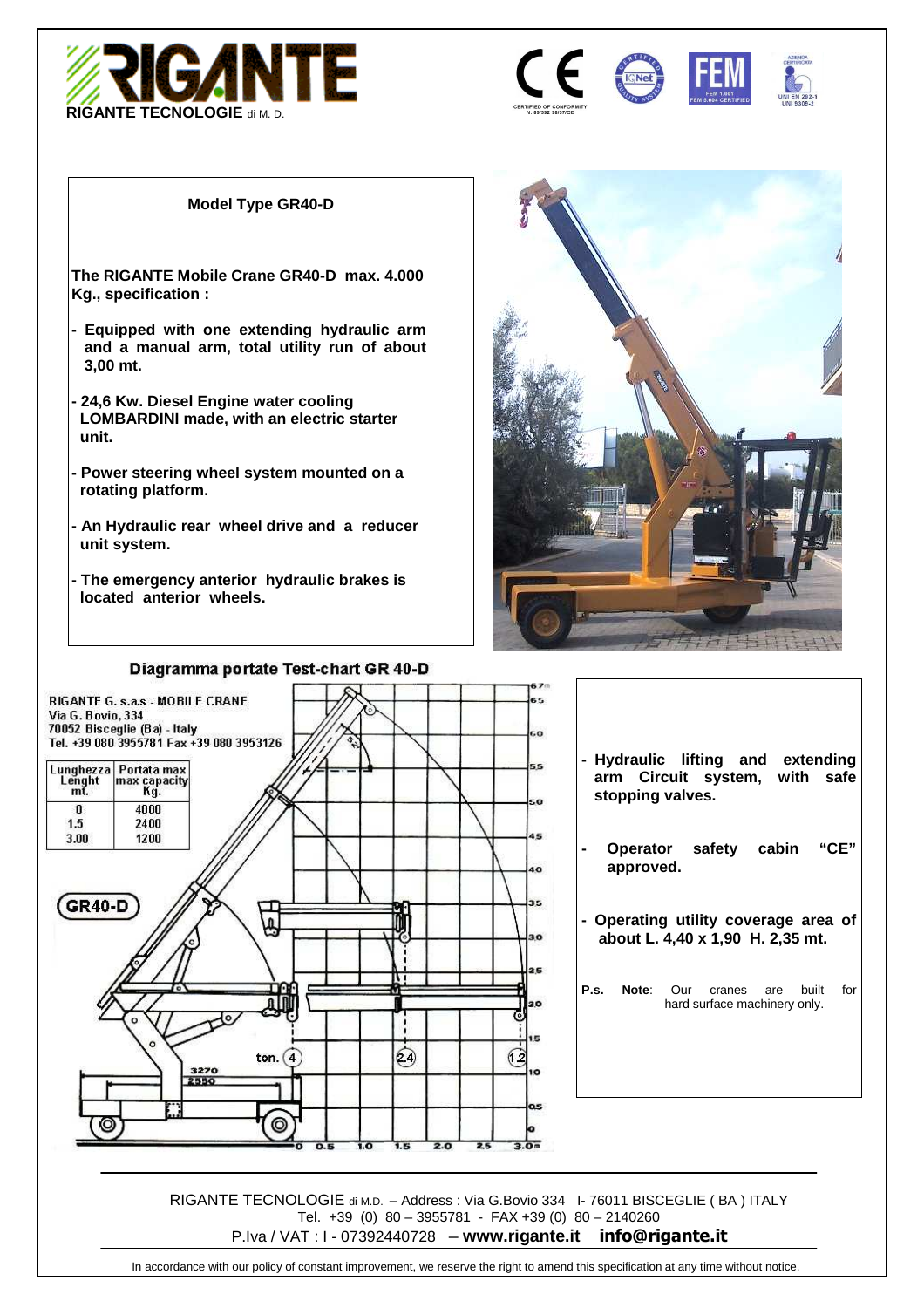





#### **Model Type GR40-D**

**The RIGANTE Mobile Crane GR40-D max. 4.000 Kg., specification :** 

- **Equipped with one extending hydraulic arm and a manual arm, total utility run of about 3,00 mt.**
- **24,6 Kw. Diesel Engine water cooling LOMBARDINI made, with an electric starter unit.**
- **Power steering wheel system mounted on a rotating platform.**
- **An Hydraulic rear wheel drive and a reducer unit system.**
- **The emergency anterior hydraulic brakes is located anterior wheels.**





RIGANTE TECNOLOGIE di M.D. – Address : Via G.Bovio 334 I- 76011 BISCEGLIE ( BA ) ITALY Tel. +39 (0) 80 – 3955781 - FAX +39 (0) 80 – 2140260 P.Iva / VAT : I - 07392440728 – **www.rigante.it info@rigante.it**

#### Diagramma portate Test-chart GR 40-D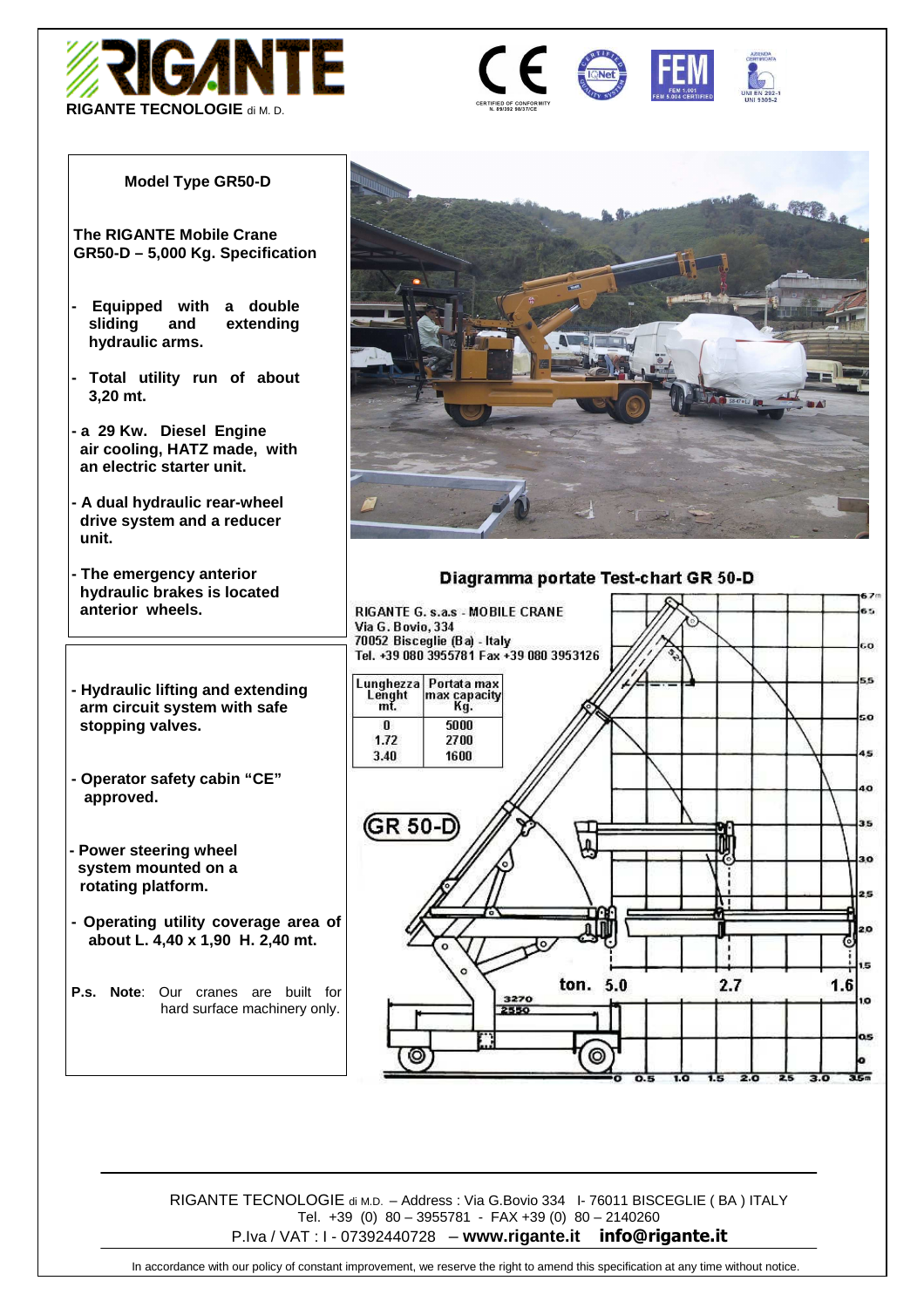



#### **Model Type GR50-D**

**The RIGANTE Mobile Crane GR50-D – 5,000 Kg. Specification** 

- **Equipped with a double sliding and extending hydraulic arms.**
- **Total utility run of about 3,20 mt.**
- **a 29 Kw. Diesel Engine air cooling, HATZ made, with an electric starter unit.**
- **A dual hydraulic rear-wheel drive system and a reducer unit.**
- **The emergency anterior hydraulic brakes is located anterior wheels.**
- **Hydraulic lifting and extending arm circuit system with safe stopping valves.**
- **Operator safety cabin "CE" approved.**
- **Power steering wheel system mounted on a rotating platform.**
- **Operating utility coverage area of about L. 4,40 x 1,90 H. 2,40 mt.**

**P.s. Note**: Our cranes are built for hard surface machinery only.



#### Diagramma portate Test-chart GR 50-D



RIGANTE TECNOLOGIE di M.D. – Address : Via G.Bovio 334 I- 76011 BISCEGLIE ( BA ) ITALY Tel. +39 (0) 80 – 3955781 - FAX +39 (0) 80 – 2140260 P.Iva / VAT : I - 07392440728 – **www.rigante.it info@rigante.it**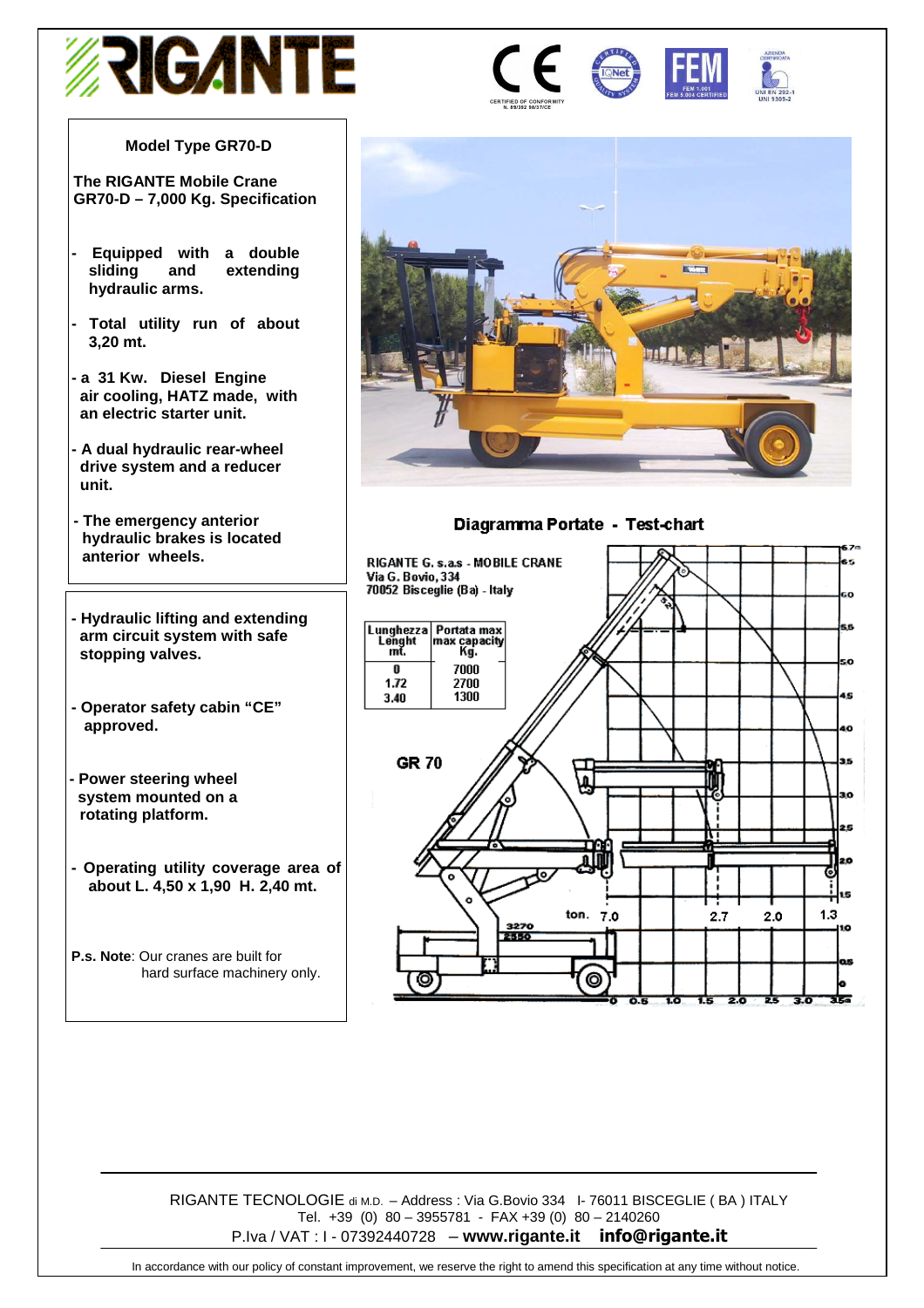

#### **Model Type GR70-D**

**The RIGANTE Mobile Crane GR70-D – 7,000 Kg. Specification** 

- **Equipped with a double sliding and extending hydraulic arms.**
- **Total utility run of about 3,20 mt.**
- **a 31 Kw. Diesel Engine air cooling, HATZ made, with an electric starter unit.**
- **A dual hydraulic rear-wheel drive system and a reducer unit.**
- **The emergency anterior hydraulic brakes is located anterior wheels.**
- **Hydraulic lifting and extending arm circuit system with safe stopping valves.**
- **Operator safety cabin "CE" approved.**
- **Power steering wheel system mounted on a rotating platform.**
- **Operating utility coverage area of about L. 4,50 x 1,90 H. 2,40 mt.**
- **P.s. Note**: Our cranes are built for hard surface machinery only.



Diagramma Portate - Test-chart



RIGANTE TECNOLOGIE di M.D. – Address : Via G.Bovio 334 I- 76011 BISCEGLIE ( BA ) ITALY Tel. +39 (0) 80 – 3955781 - FAX +39 (0) 80 – 2140260 P.Iva / VAT : I - 07392440728 – **www.rigante.it info@rigante.it**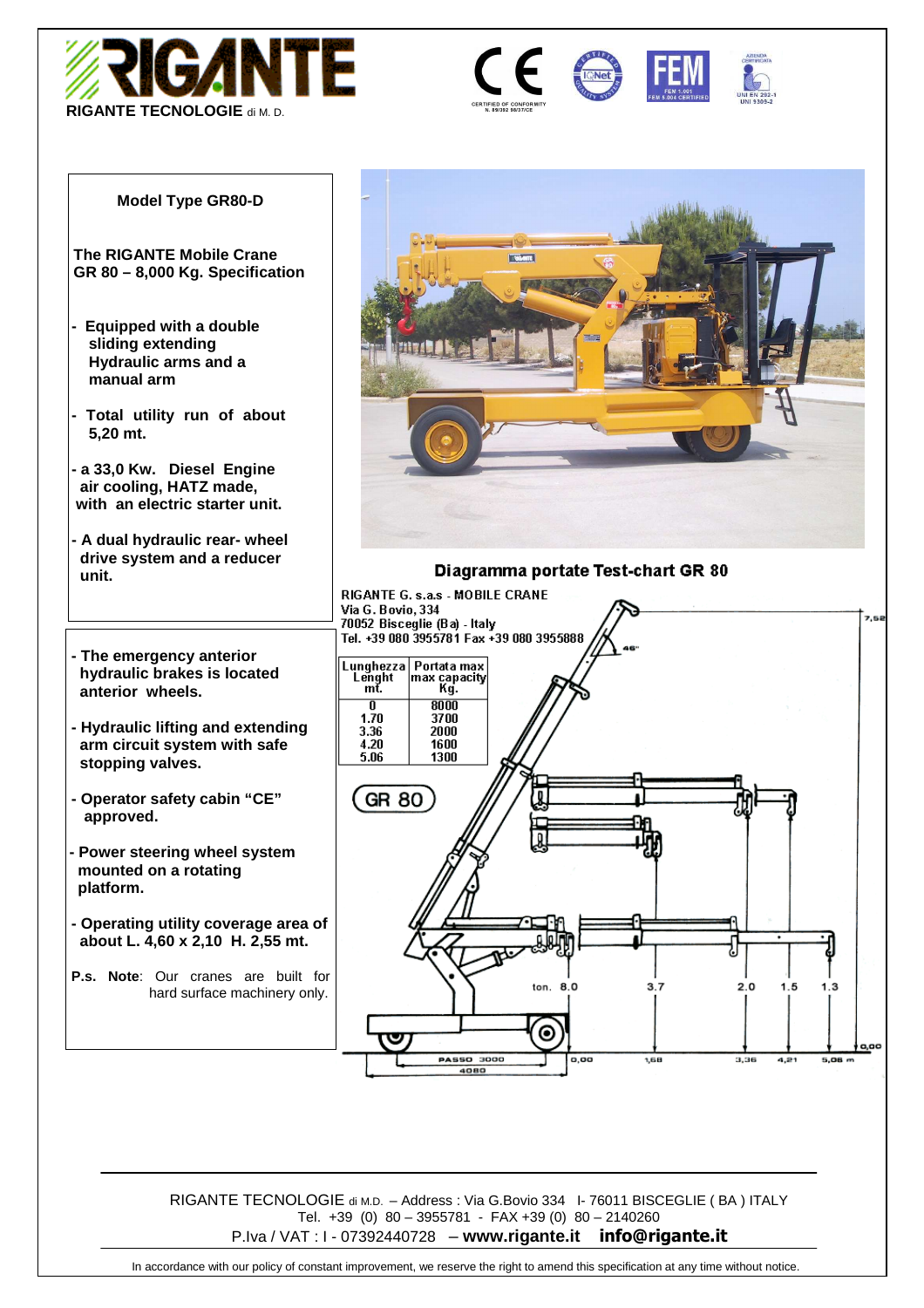





#### **Model Type GR80-D**

**The RIGANTE Mobile Crane GR 80 – 8,000 Kg. Specification** 

- **Equipped with a double sliding extending Hydraulic arms and a manual arm**
- **Total utility run of about 5,20 mt.**
- **a 33,0 Kw. Diesel Engine air cooling, HATZ made, with an electric starter unit.**
- **A dual hydraulic rear- wheel drive system and a reducer unit.**
- **The emergency anterior hydraulic brakes is located anterior wheels.**
- **Hydraulic lifting and extending arm circuit system with safe stopping valves.**
- **Operator safety cabin "CE" approved.**
- **Power steering wheel system mounted on a rotating platform.**
- **Operating utility coverage area of about L. 4,60 x 2,10 H. 2,55 mt.**
- **P.s. Note**: Our cranes are built for hard surface machinery only.



#### Diagramma portate Test-chart GR 80



RIGANTE TECNOLOGIE di M.D. – Address : Via G.Bovio 334 I- 76011 BISCEGLIE ( BA ) ITALY Tel. +39 (0) 80 – 3955781 - FAX +39 (0) 80 – 2140260 P.Iva / VAT : I - 07392440728 – **www.rigante.it info@rigante.it**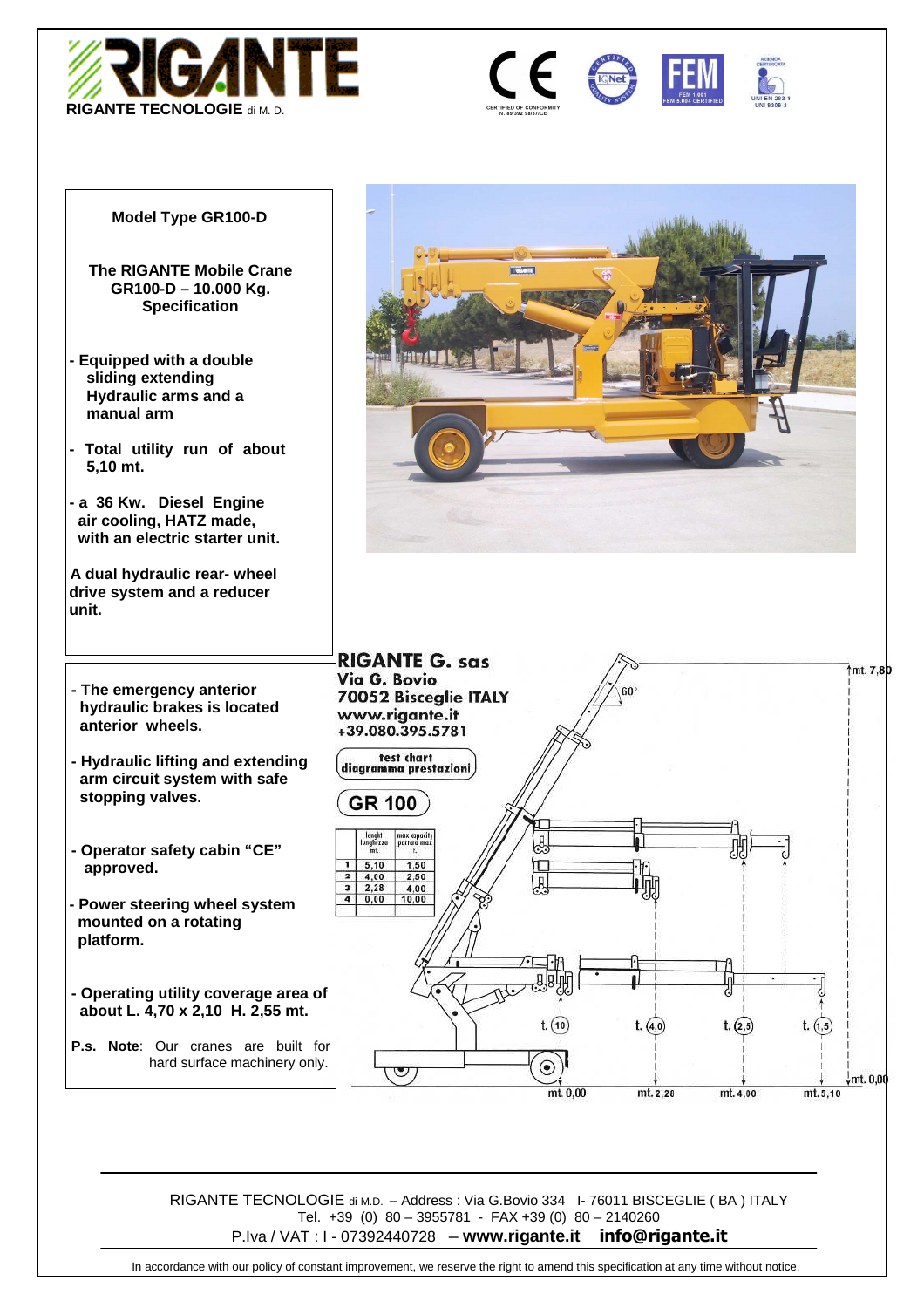







#### **Model Type GR100-D**

- **The RIGANTE Mobile Crane GR100-D – 10.000 Kg. Specification**
- **Equipped with a double sliding extending Hydraulic arms and a manual arm**
- **Total utility run of about 5,10 mt.**
- **a 36 Kw. Diesel Engine air cooling, HATZ made, with an electric starter unit.**

**A dual hydraulic rear- wheel drive system and a reducer unit.** 

- **The emergency anterior hydraulic brakes is located anterior wheels.**
- **Hydraulic lifting and extending arm circuit system with safe stopping valves.**
- **Operator safety cabin "CE" approved.**
- **Power steering wheel system mounted on a rotating platform.**
- **Operating utility coverage area of about L. 4,70 x 2,10 H. 2,55 mt.**

**P.s. Note**: Our cranes are built for hard surface machinery only.





RIGANTE TECNOLOGIE di M.D. – Address : Via G.Bovio 334 I- 76011 BISCEGLIE ( BA ) ITALY Tel. +39 (0) 80 – 3955781 - FAX +39 (0) 80 – 2140260 P.Iva / VAT : I - 07392440728 – **www.rigante.it info@rigante.it**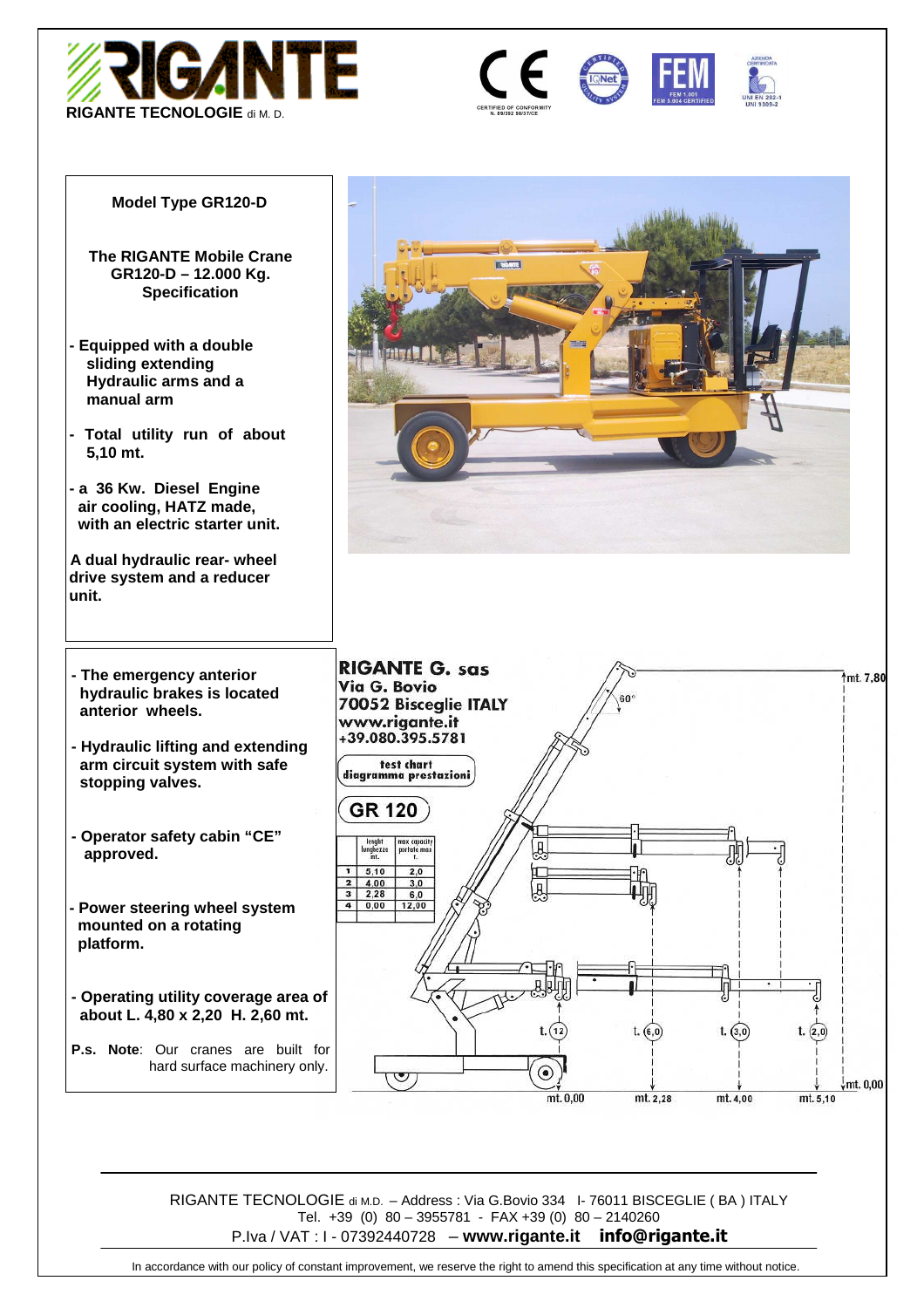







#### **Model Type GR120-D**

- **The RIGANTE Mobile Crane GR120-D – 12.000 Kg. Specification**
- **Equipped with a double sliding extending Hydraulic arms and a manual arm**
- **Total utility run of about 5,10 mt.**
- **a 36 Kw. Diesel Engine air cooling, HATZ made, with an electric starter unit.**

**A dual hydraulic rear- wheel drive system and a reducer unit.** 

- **The emergency anterior hydraulic brakes is located anterior wheels.**
- **Hydraulic lifting and extending arm circuit system with safe stopping valves.**
- **Operator safety cabin "CE" approved.**
- **Power steering wheel system mounted on a rotating platform.**
- **Operating utility coverage area of about L. 4,80 x 2,20 H. 2,60 mt.**
- **P.s. Note**: Our cranes are built for hard surface machinery only.





RIGANTE TECNOLOGIE di M.D. – Address : Via G.Bovio 334 I- 76011 BISCEGLIE ( BA ) ITALY Tel. +39 (0) 80 – 3955781 - FAX +39 (0) 80 – 2140260 P.Iva / VAT : I - 07392440728 – **www.rigante.it info@rigante.it**